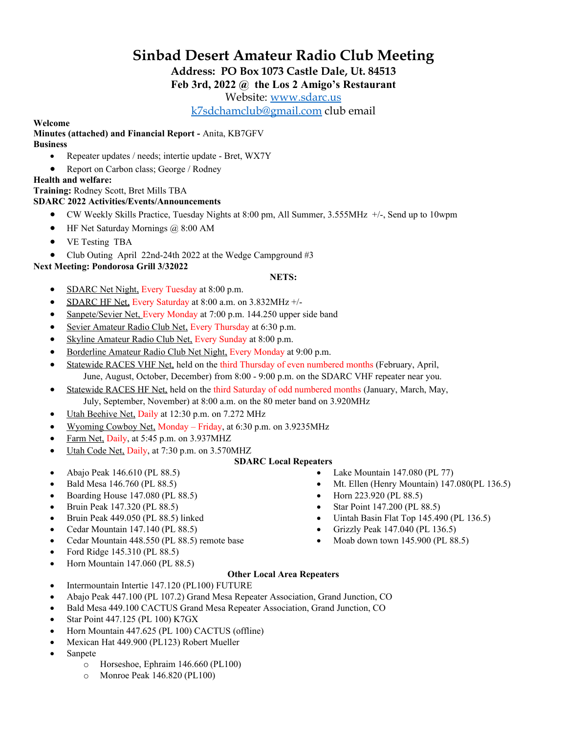# **Sinbad Desert Amateur Radio Club Meeting**

**Address: PO Box 1073 Castle Dale, Ut. 84513**

# **Feb 3rd, 2022 @ the Los 2 Amigo's Restaurant**

Website: [www.sdarc.us](http://www.sdarc.us/)

[k7sdchamclub@gmail.com](mailto:k7sdchamclub@gmail.com) club email

#### **Welcome**

#### **Minutes (attached) and Financial Report -** Anita, KB7GFV **Business**

- Repeater updates / needs; intertie update Bret, WX7Y
- Report on Carbon class; George / Rodney
- **Health and welfare:**

# **Training:** Rodney Scott, Bret Mills TBA

### **SDARC 2022 Activities/Events/Announcements**

- CW Weekly Skills Practice, Tuesday Nights at 8:00 pm, All Summer, 3.555MHz +/-, Send up to 10wpm
- HF Net Saturday Mornings @ 8:00 AM
- VE Testing TBA
- Club Outing April 22nd-24th 2022 at the Wedge Campground #3

### **Next Meeting: Pondorosa Grill 3/32022**

### **NETS:**

- SDARC Net Night, Every Tuesday at 8:00 p.m.
- SDARC HF Net, Every Saturday at  $8:00$  a.m. on  $3.832$ MHz  $+\prime$ -
- Sanpete/Sevier Net, Every Monday at 7:00 p.m. 144.250 upper side band
- Sevier Amateur Radio Club Net, Every Thursday at 6:30 p.m.
- Skyline Amateur Radio Club Net, Every Sunday at 8:00 p.m.
- Borderline Amateur Radio Club Net Night, Every Monday at 9:00 p.m.
- Statewide RACES VHF Net, held on the third Thursday of even numbered months (February, April, June, August, October, December) from 8:00 - 9:00 p.m. on the SDARC VHF repeater near you.
- Statewide RACES HF Net, held on the third Saturday of odd numbered months (January, March, May, July, September, November) at 8:00 a.m. on the 80 meter band on 3.920MHz
- Utah Beehive Net, Daily at 12:30 p.m. on 7.272 MHz
- Wyoming Cowboy Net, Monday Friday, at 6:30 p.m. on 3.9235MHz
- Farm Net, Daily, at 5:45 p.m. on 3.937MHZ
- Utah Code Net, Daily, at 7:30 p.m. on 3.570MHZ

#### **SDARC Local Repeaters**

- Abajo Peak 146.610 (PL 88.5)
- Bald Mesa 146.760 (PL 88.5)
- Boarding House 147.080 (PL 88.5)
- Bruin Peak 147.320 (PL 88.5)
- Bruin Peak 449.050 (PL 88.5) linked
- Cedar Mountain 147.140 (PL 88.5)
- Cedar Mountain 448.550 (PL 88.5) remote base
- Ford Ridge 145.310 (PL 88.5)
- Horn Mountain 147.060 (PL 88.5)
- Lake Mountain 147.080 (PL 77)
- Mt. Ellen (Henry Mountain) 147.080(PL 136.5)
- Horn 223.920 (PL 88.5)
- Star Point 147.200 (PL 88.5)
- Uintah Basin Flat Top 145.490 (PL 136.5)
- Grizzly Peak 147.040 (PL 136.5)
- Moab down town  $145.900$  (PL  $88.5$ )

#### **Other Local Area Repeaters**

- Intermountain Intertie 147.120 (PL100) FUTURE
- Abajo Peak 447.100 (PL 107.2) Grand Mesa Repeater Association, Grand Junction, CO
- Bald Mesa 449.100 CACTUS Grand Mesa Repeater Association, Grand Junction, CO
- Star Point 447.125 (PL 100) K7GX
- Horn Mountain 447.625 (PL 100) CACTUS (offline)
- Mexican Hat 449.900 (PL123) Robert Mueller
- Sanpete
	- o Horseshoe, Ephraim 146.660 (PL100)
	- o Monroe Peak 146.820 (PL100)